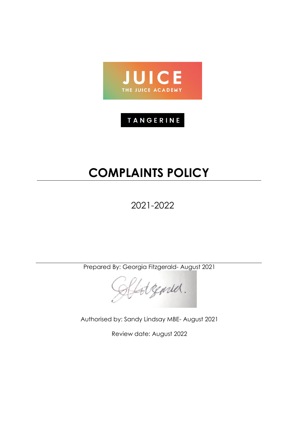

# TANGERINE

# **COMPLAINTS POLICY**

2021-2022

Prepared By: Georgia Fitzgerald- August 2021

Latgemed.

Authorised by: Sandy Lindsay MBE- August 2021

Review date: August 2022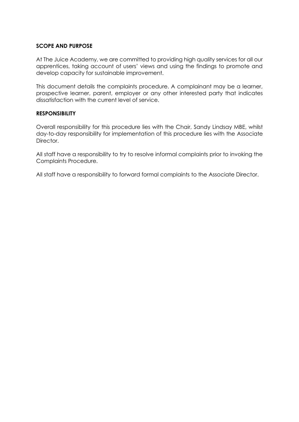#### **SCOPE AND PURPOSE**

At The Juice Academy, we are committed to providing high quality services for all our apprentices, taking account of users' views and using the findings to promote and develop capacity for sustainable improvement.

This document details the complaints procedure. A complainant may be a learner, prospective learner, parent, employer or any other interested party that indicates dissatisfaction with the current level of service.

#### **RESPONSIBILITY**

Overall responsibility for this procedure lies with the Chair, Sandy Lindsay MBE, whilst day-to-day responsibility for implementation of this procedure lies with the Associate Director.

All staff have a responsibility to try to resolve informal complaints prior to invoking the Complaints Procedure.

All staff have a responsibility to forward formal complaints to the Associate Director.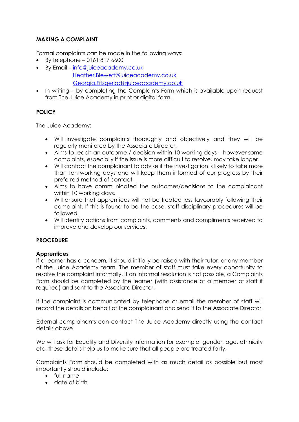# **MAKING A COMPLAINT**

Formal complaints can be made in the following ways:

- By telephone  $-01618176600$
- By Email [info@juiceacademy.co.uk](mailto:info@juiceacademy.co.uk) [Heather.Blewett@juiceacademy.co.uk](mailto:Heather.Blewett@juiceacademy.co.uk) [Georgia.Fitzgerlad@juiceacademy.co.uk](mailto:Georgia.Fitzgerlad@juiceacademy.co.uk)
- In writing by completing the Complaints Form which is available upon request from The Juice Academy in print or digital form.

# **POLICY**

The Juice Academy:

- Will investigate complaints thoroughly and objectively and they will be regularly monitored by the Associate Director.
- Aims to reach an outcome / decision within 10 working days however some complaints, especially if the issue is more difficult to resolve, may take longer.
- Will contact the complainant to advise if the investigation is likely to take more than ten working days and will keep them informed of our progress by their preferred method of contact.
- Aims to have communicated the outcomes/decisions to the complainant within 10 working days.
- Will ensure that apprentices will not be treated less favourably following their complaint. If this is found to be the case, staff disciplinary procedures will be followed.
- Will identify actions from complaints, comments and compliments received to improve and develop our services.

# **PROCEDURE**

# **Apprentices**

If a learner has a concern, it should initially be raised with their tutor, or any member of the Juice Academy team. The member of staff must take every opportunity to resolve the complaint informally. If an informal resolution is not possible, a Complaints Form should be completed by the learner (with assistance of a member of staff if required) and sent to the Associate Director.

If the complaint is communicated by telephone or email the member of staff will record the details on behalf of the complainant and send it to the Associate Director.

External complainants can contact The Juice Academy directly using the contact details above.

We will ask for Equality and Diversity Information for example; gender, age, ethnicity etc. these details help us to make sure that all people are treated fairly.

Complaints Form should be completed with as much detail as possible but most importantly should include:

- full name
- date of birth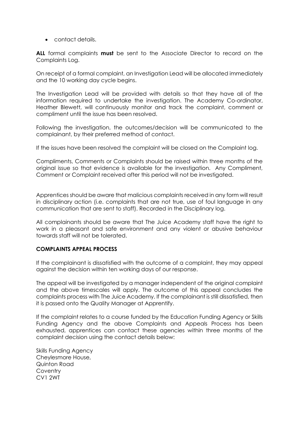• contact details.

**ALL** formal complaints **must** be sent to the Associate Director to record on the Complaints Log.

On receipt of a formal complaint, an Investigation Lead will be allocated immediately and the 10 working day cycle begins.

The Investigation Lead will be provided with details so that they have all of the information required to undertake the investigation. The Academy Co-ordinator, Heather Blewett, will continuously monitor and track the complaint, comment or compliment until the issue has been resolved.

Following the investigation, the outcomes/decision will be communicated to the complainant, by their preferred method of contact.

If the issues have been resolved the complaint will be closed on the Complaint log.

Compliments, Comments or Complaints should be raised within three months of the original issue so that evidence is available for the investigation. Any Compliment, Comment or Complaint received after this period will not be investigated.

Apprentices should be aware that malicious complaints received in any form will result in disciplinary action (i.e. complaints that are not true, use of foul language in any communication that are sent to staff). Recorded in the Disciplinary log.

All complainants should be aware that The Juice Academy staff have the right to work in a pleasant and safe environment and any violent or abusive behaviour towards staff will not be tolerated.

#### **COMPLAINTS APPEAL PROCESS**

If the complainant is dissatisfied with the outcome of a complaint, they may appeal against the decision within ten working days of our response.

The appeal will be investigated by a manager independent of the original complaint and the above timescales will apply. The outcome of this appeal concludes the complaints process with The Juice Academy. If the complainant is still dissatisfied, then it is passed onto the Quality Manager at Apprentify.

If the complaint relates to a course funded by the Education Funding Agency or Skills Funding Agency and the above Complaints and Appeals Process has been exhausted, apprentices can contact these agencies within three months of the complaint decision using the contact details below:

Skills Funding Agency Cheylesmore House, Quinton Road **Coventry** CV1 2WT